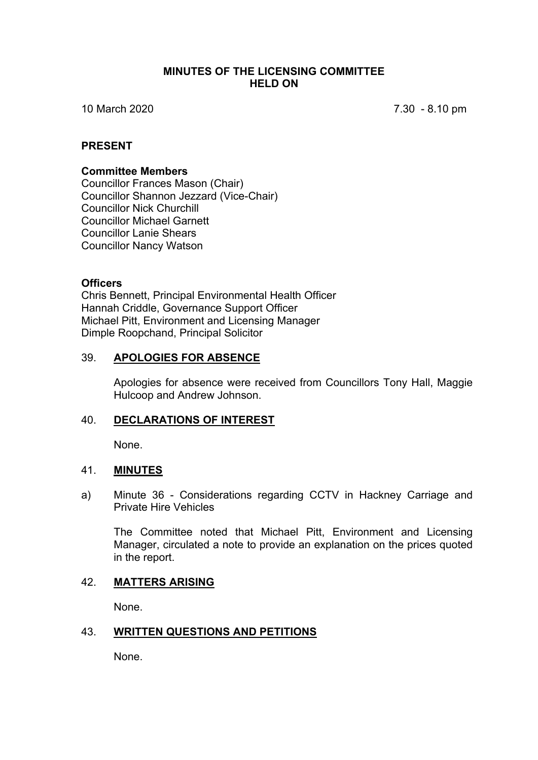### **MINUTES OF THE LICENSING COMMITTEE HELD ON**

10 March 2020 7.30 - 8.10 pm

### **PRESENT**

#### **Committee Members**

Councillor Frances Mason (Chair) Councillor Shannon Jezzard (Vice-Chair) Councillor Nick Churchill Councillor Michael Garnett Councillor Lanie Shears Councillor Nancy Watson

### **Officers**

Chris Bennett, Principal Environmental Health Officer Hannah Criddle, Governance Support Officer Michael Pitt, Environment and Licensing Manager Dimple Roopchand, Principal Solicitor

### 39. **APOLOGIES FOR ABSENCE**

Apologies for absence were received from Councillors Tony Hall, Maggie Hulcoop and Andrew Johnson.

# 40. **DECLARATIONS OF INTEREST**

None.

# 41. **MINUTES**

a) Minute 36 - Considerations regarding CCTV in Hackney Carriage and Private Hire Vehicles

The Committee noted that Michael Pitt, Environment and Licensing Manager, circulated a note to provide an explanation on the prices quoted in the report.

# 42. **MATTERS ARISING**

None.

#### 43. **WRITTEN QUESTIONS AND PETITIONS**

None.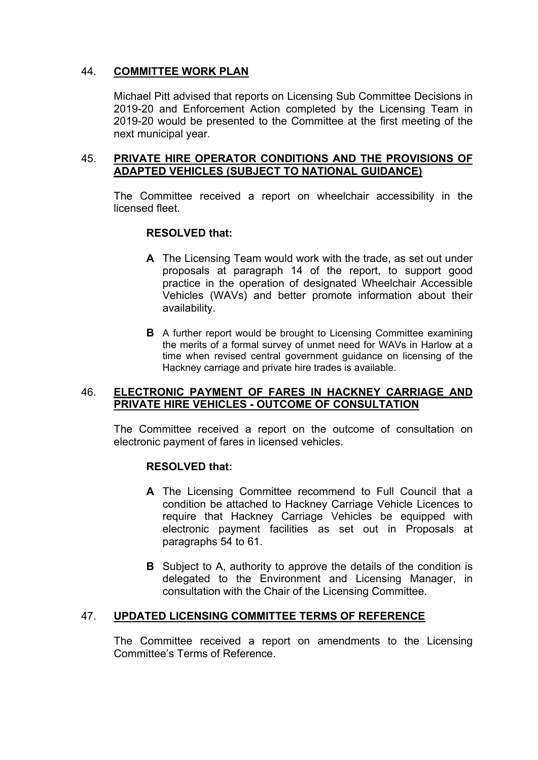# 44. **COMMITTEE WORK PLAN**

Michael Pitt advised that reports on Licensing Sub Committee Decisions in 2019-20 and Enforcement Action completed by the Licensing Team in 2019-20 would be presented to the Committee at the first meeting of the next municipal year.

### 45. **PRIVATE HIRE OPERATOR CONDITIONS AND THE PROVISIONS OF ADAPTED VEHICLES (SUBJECT TO NATIONAL GUIDANCE)**

The Committee received a report on wheelchair accessibility in the licensed fleet.

# **RESOLVED that:**

- **A** The Licensing Team would work with the trade, as set out under proposals at paragraph 14 of the report, to support good practice in the operation of designated Wheelchair Accessible Vehicles (WAVs) and better promote information about their availability.
- **B** A further report would be brought to Licensing Committee examining the merits of a formal survey of unmet need for WAVs in Harlow at a time when revised central government guidance on licensing of the Hackney carriage and private hire trades is available.

### 46. **ELECTRONIC PAYMENT OF FARES IN HACKNEY CARRIAGE AND PRIVATE HIRE VEHICLES - OUTCOME OF CONSULTATION**

The Committee received a report on the outcome of consultation on electronic payment of fares in licensed vehicles.

# **RESOLVED that:**

- **A** The Licensing Committee recommend to Full Council that a condition be attached to Hackney Carriage Vehicle Licences to require that Hackney Carriage Vehicles be equipped with electronic payment facilities as set out in Proposals at paragraphs 54 to 61.
- **B** Subject to A, authority to approve the details of the condition is delegated to the Environment and Licensing Manager, in consultation with the Chair of the Licensing Committee.

# 47. **UPDATED LICENSING COMMITTEE TERMS OF REFERENCE**

The Committee received a report on amendments to the Licensing Committee's Terms of Reference.